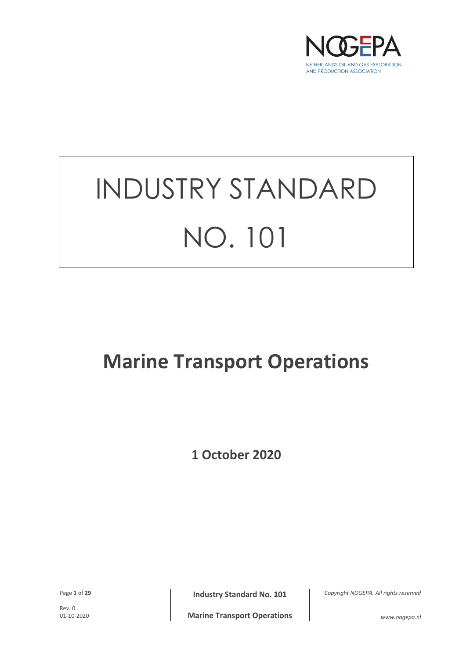

# INDUSTRY STANDARD NO. 101

# **Marine Transport Operations**

**1 October 2020**

Rev. 0<br>01-10-2020

Page 1 of 29 **Industry Standard No. 101**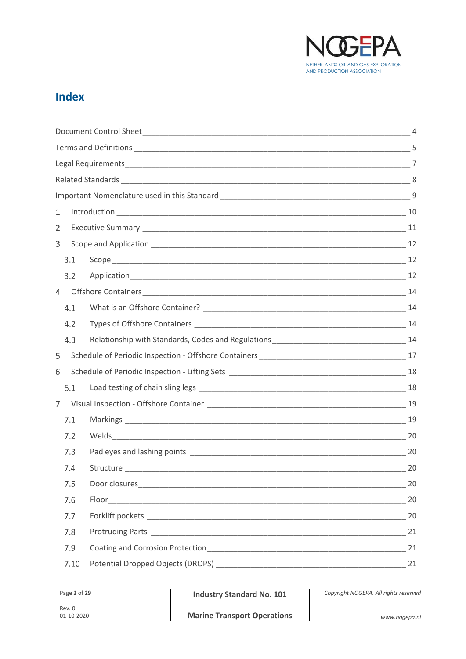

# **Index**

| 1              |  |    |
|----------------|--|----|
| 2              |  |    |
| 3              |  |    |
| 3.1            |  |    |
| 3.2            |  |    |
| $\overline{4}$ |  |    |
| 4.1            |  |    |
| 4.2            |  |    |
| 4.3            |  |    |
| 5              |  |    |
| 6              |  |    |
| 6.1            |  |    |
| 7              |  |    |
| 7.1            |  |    |
| 7.2            |  |    |
| 7.3            |  | 20 |
| 7.4            |  |    |
| 7.5            |  | 20 |
| 7.6            |  | 20 |
| 7.7            |  |    |
| 7.8            |  | 21 |
| 7.9            |  | 21 |
| 7.10           |  | 21 |

Page 2 of 29 **Industry Standard No. 101**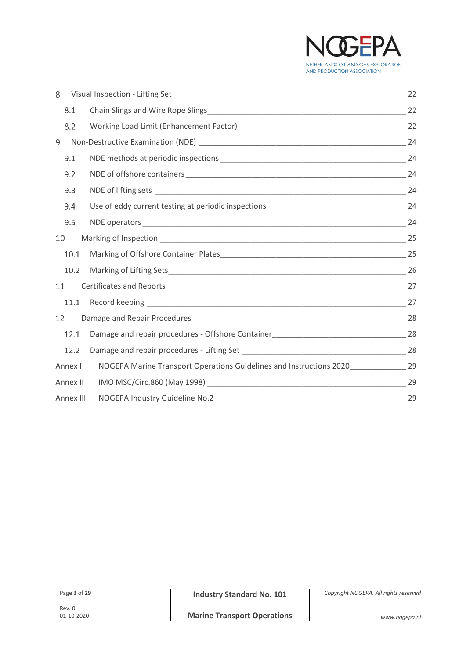

| 8         |                                                                                      |    |
|-----------|--------------------------------------------------------------------------------------|----|
| 8.1       |                                                                                      |    |
| 8.2       |                                                                                      |    |
| 9         |                                                                                      |    |
| 9.1       |                                                                                      |    |
| 9.2       |                                                                                      |    |
| 9.3       |                                                                                      |    |
| 9.4       |                                                                                      |    |
| 9.5       |                                                                                      |    |
| 10        |                                                                                      |    |
| 10.1      |                                                                                      |    |
| 10.2      |                                                                                      |    |
| 11        |                                                                                      |    |
| 11.1      |                                                                                      |    |
| 12        |                                                                                      |    |
| 12.1      |                                                                                      |    |
| 12.2      |                                                                                      |    |
| Annex I   | NOGEPA Marine Transport Operations Guidelines and Instructions 2020______________ 29 |    |
| Annex II  |                                                                                      | 29 |
| Annex III |                                                                                      | 29 |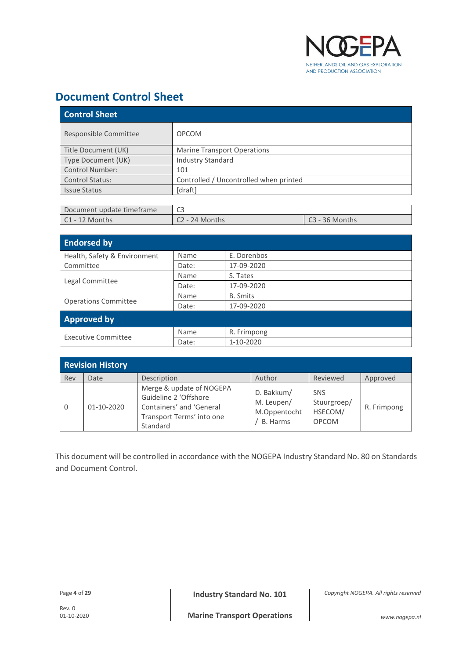

# <span id="page-3-0"></span>**Document Control Sheet**

| <b>Control Sheet</b>   |                                        |  |  |
|------------------------|----------------------------------------|--|--|
| Responsible Committee  | <b>OPCOM</b>                           |  |  |
| Title Document (UK)    | <b>Marine Transport Operations</b>     |  |  |
| Type Document (UK)     | <b>Industry Standard</b>               |  |  |
| Control Number:        | 101                                    |  |  |
| <b>Control Status:</b> | Controlled / Uncontrolled when printed |  |  |
| <b>Issue Status</b>    | [draft]                                |  |  |

| Document update timeframe | نا -             |                  |
|---------------------------|------------------|------------------|
| $C1 - 12$ Months          | $C2 - 24$ Months | $C3 - 36$ Months |

| <b>Endorsed by</b>           |       |                 |  |  |
|------------------------------|-------|-----------------|--|--|
| Health, Safety & Environment | Name  | E. Dorenbos     |  |  |
| Committee                    | Date: | 17-09-2020      |  |  |
|                              | Name  | S. Tates        |  |  |
| Legal Committee              | Date: | 17-09-2020      |  |  |
|                              | Name  | <b>B.</b> Smits |  |  |
| <b>Operations Committee</b>  | Date: | 17-09-2020      |  |  |
| <b>Approved by</b>           |       |                 |  |  |
| <b>Executive Committee</b>   | Name  | R. Frimpong     |  |  |
|                              | Date: | 1-10-2020       |  |  |

| <b>Revision History</b> |            |                                                                                                                        |                                                      |                                                      |             |
|-------------------------|------------|------------------------------------------------------------------------------------------------------------------------|------------------------------------------------------|------------------------------------------------------|-------------|
| Rev                     | Date       | Description                                                                                                            | Author                                               | Reviewed                                             | Approved    |
| $\Omega$                | 01-10-2020 | Merge & update of NOGEPA<br>Guideline 2 'Offshore<br>Containers' and 'General<br>Transport Terms' into one<br>Standard | D. Bakkum/<br>M. Leupen/<br>M.Oppentocht<br>B. Harms | <b>SNS</b><br>Stuurgroep/<br>HSECOM/<br><b>OPCOM</b> | R. Frimpong |

This document will be controlled in accordance with the NOGEPA Industry Standard No. 80 on Standards and Document Control.

Page **<sup>4</sup>** of **<sup>29</sup> Industry Standard No. 101**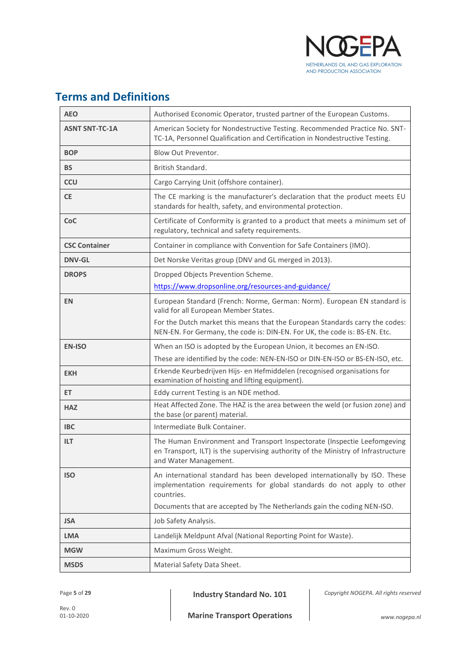

# <span id="page-4-0"></span>**Terms and Definitions**

| <b>AEO</b>            | Authorised Economic Operator, trusted partner of the European Customs.                                                                                                                                                                        |  |
|-----------------------|-----------------------------------------------------------------------------------------------------------------------------------------------------------------------------------------------------------------------------------------------|--|
| <b>ASNT SNT-TC-1A</b> | American Society for Nondestructive Testing. Recommended Practice No. SNT-<br>TC-1A, Personnel Qualification and Certification in Nondestructive Testing.                                                                                     |  |
| <b>BOP</b>            | Blow Out Preventor.                                                                                                                                                                                                                           |  |
| BS                    | British Standard.                                                                                                                                                                                                                             |  |
| <b>CCU</b>            | Cargo Carrying Unit (offshore container).                                                                                                                                                                                                     |  |
| <b>CE</b>             | The CE marking is the manufacturer's declaration that the product meets EU<br>standards for health, safety, and environmental protection.                                                                                                     |  |
| <b>CoC</b>            | Certificate of Conformity is granted to a product that meets a minimum set of<br>regulatory, technical and safety requirements.                                                                                                               |  |
| <b>CSC Container</b>  | Container in compliance with Convention for Safe Containers (IMO).                                                                                                                                                                            |  |
| <b>DNV-GL</b>         | Det Norske Veritas group (DNV and GL merged in 2013).                                                                                                                                                                                         |  |
| <b>DROPS</b>          | Dropped Objects Prevention Scheme.                                                                                                                                                                                                            |  |
|                       | https://www.dropsonline.org/resources-and-guidance/                                                                                                                                                                                           |  |
| <b>EN</b>             | European Standard (French: Norme, German: Norm). European EN standard is<br>valid for all European Member States.                                                                                                                             |  |
|                       | For the Dutch market this means that the European Standards carry the codes:<br>NEN-EN. For Germany, the code is: DIN-EN. For UK, the code is: BS-EN. Etc.                                                                                    |  |
| <b>EN-ISO</b>         | When an ISO is adopted by the European Union, it becomes an EN-ISO.                                                                                                                                                                           |  |
|                       | These are identified by the code: NEN-EN-ISO or DIN-EN-ISO or BS-EN-ISO, etc.                                                                                                                                                                 |  |
| <b>EKH</b>            | Erkende Keurbedrijven Hijs- en Hefmiddelen (recognised organisations for<br>examination of hoisting and lifting equipment).                                                                                                                   |  |
| ET.                   | Eddy current Testing is an NDE method.                                                                                                                                                                                                        |  |
| <b>HAZ</b>            | Heat Affected Zone. The HAZ is the area between the weld (or fusion zone) and<br>the base (or parent) material.                                                                                                                               |  |
| <b>IBC</b>            | Intermediate Bulk Container.                                                                                                                                                                                                                  |  |
| <b>ILT</b>            | The Human Environment and Transport Inspectorate (Inspectie Leefomgeving<br>en Transport, ILT) is the supervising authority of the Ministry of Infrastructure<br>and Water Management.                                                        |  |
| <b>ISO</b>            | An international standard has been developed internationally by ISO. These<br>implementation requirements for global standards do not apply to other<br>countries.<br>Documents that are accepted by The Netherlands gain the coding NEN-ISO. |  |
| <b>JSA</b>            | Job Safety Analysis.                                                                                                                                                                                                                          |  |
| <b>LMA</b>            | Landelijk Meldpunt Afval (National Reporting Point for Waste).                                                                                                                                                                                |  |
| <b>MGW</b>            | Maximum Gross Weight.                                                                                                                                                                                                                         |  |
| <b>MSDS</b>           | Material Safety Data Sheet.                                                                                                                                                                                                                   |  |

Page 5 of 29 **Industry Standard No. 101**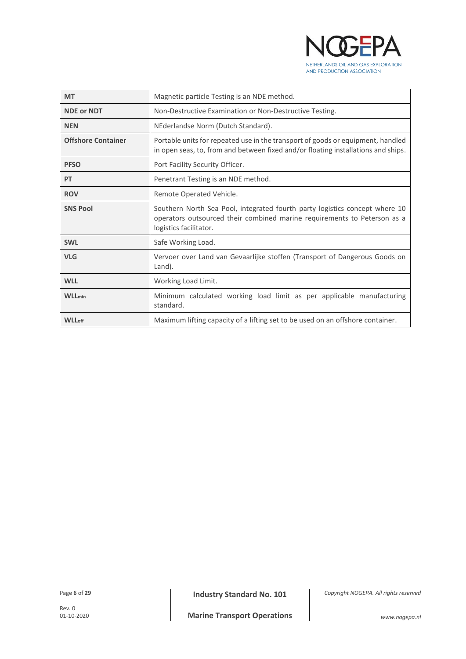

| <b>MT</b>                 | Magnetic particle Testing is an NDE method.                                                                                                                                       |  |  |
|---------------------------|-----------------------------------------------------------------------------------------------------------------------------------------------------------------------------------|--|--|
| <b>NDE or NDT</b>         | Non-Destructive Examination or Non-Destructive Testing.                                                                                                                           |  |  |
| <b>NEN</b>                | NEderlandse Norm (Dutch Standard).                                                                                                                                                |  |  |
| <b>Offshore Container</b> | Portable units for repeated use in the transport of goods or equipment, handled<br>in open seas, to, from and between fixed and/or floating installations and ships.              |  |  |
| <b>PFSO</b>               | Port Facility Security Officer.                                                                                                                                                   |  |  |
| PT                        | Penetrant Testing is an NDE method.                                                                                                                                               |  |  |
| <b>ROV</b>                | Remote Operated Vehicle.                                                                                                                                                          |  |  |
| <b>SNS Pool</b>           | Southern North Sea Pool, integrated fourth party logistics concept where 10<br>operators outsourced their combined marine requirements to Peterson as a<br>logistics facilitator. |  |  |
| <b>SWL</b>                | Safe Working Load.                                                                                                                                                                |  |  |
| <b>VLG</b>                | Vervoer over Land van Gevaarlijke stoffen (Transport of Dangerous Goods on<br>Land).                                                                                              |  |  |
| <b>WLL</b>                | Working Load Limit.                                                                                                                                                               |  |  |
| <b>WLL</b> <sub>min</sub> | Minimum calculated working load limit as per applicable manufacturing<br>standard.                                                                                                |  |  |
| <b>WLL</b> <sub>off</sub> | Maximum lifting capacity of a lifting set to be used on an offshore container.                                                                                                    |  |  |

Page 6 of 29 **Industry Standard No. 101**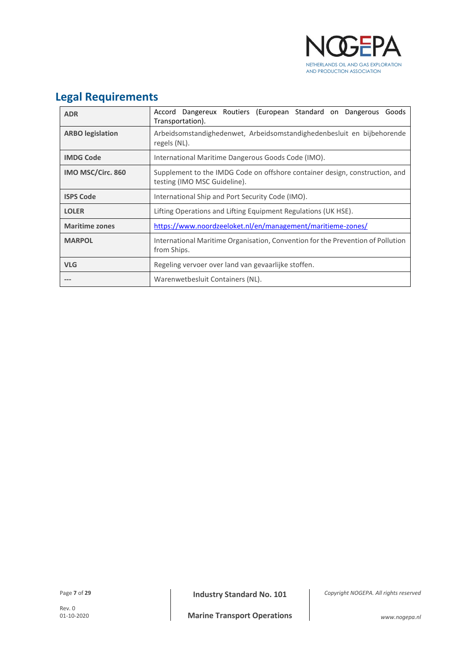

# <span id="page-6-0"></span>**Legal Requirements**

| <b>ADR</b>              | Accord Dangereux Routiers (European Standard on Dangerous<br>Goods<br>Transportation).                      |  |  |
|-------------------------|-------------------------------------------------------------------------------------------------------------|--|--|
| <b>ARBO</b> legislation | Arbeidsomstandighedenwet, Arbeidsomstandighedenbesluit en bijbehorende<br>regels (NL).                      |  |  |
| <b>IMDG Code</b>        | International Maritime Dangerous Goods Code (IMO).                                                          |  |  |
| IMO MSC/Circ. 860       | Supplement to the IMDG Code on offshore container design, construction, and<br>testing (IMO MSC Guideline). |  |  |
| <b>ISPS Code</b>        | International Ship and Port Security Code (IMO).                                                            |  |  |
| <b>LOLER</b>            | Lifting Operations and Lifting Equipment Regulations (UK HSE).                                              |  |  |
| <b>Maritime zones</b>   | https://www.noordzeeloket.nl/en/management/maritieme-zones/                                                 |  |  |
| <b>MARPOL</b>           | International Maritime Organisation, Convention for the Prevention of Pollution<br>from Ships.              |  |  |
| <b>VLG</b>              | Regeling vervoer over land van gevaarlijke stoffen.                                                         |  |  |
|                         | Warenwetbesluit Containers (NL).                                                                            |  |  |

Page 7 of 29 **Industry Standard No. 101**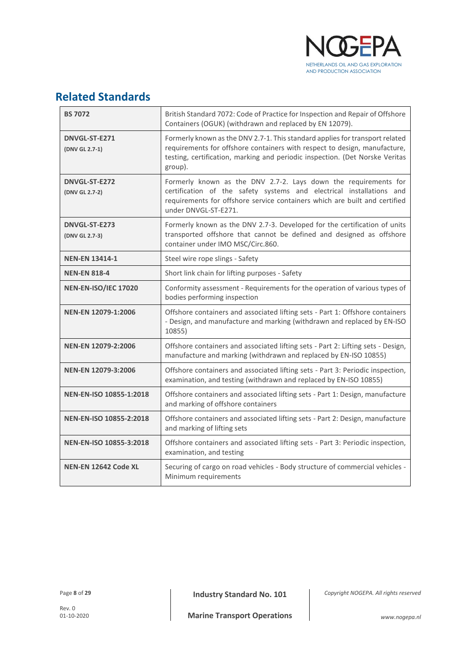

# <span id="page-7-0"></span>**Related Standards**

| <b>BS 7072</b>                  | British Standard 7072: Code of Practice for Inspection and Repair of Offshore<br>Containers (OGUK) (withdrawn and replaced by EN 12079).                                                                                                             |  |
|---------------------------------|------------------------------------------------------------------------------------------------------------------------------------------------------------------------------------------------------------------------------------------------------|--|
| DNVGL-ST-E271<br>(DNV GL 2.7-1) | Formerly known as the DNV 2.7-1. This standard applies for transport related<br>requirements for offshore containers with respect to design, manufacture,<br>testing, certification, marking and periodic inspection. (Det Norske Veritas<br>group). |  |
| DNVGL-ST-E272<br>(DNV GL 2.7-2) | Formerly known as the DNV 2.7-2. Lays down the requirements for<br>certification of the safety systems and electrical installations and<br>requirements for offshore service containers which are built and certified<br>under DNVGL-ST-E271.        |  |
| DNVGL-ST-E273<br>(DNV GL 2.7-3) | Formerly known as the DNV 2.7-3. Developed for the certification of units<br>transported offshore that cannot be defined and designed as offshore<br>container under IMO MSC/Circ.860.                                                               |  |
| <b>NEN-EN 13414-1</b>           | Steel wire rope slings - Safety                                                                                                                                                                                                                      |  |
| <b>NEN-EN 818-4</b>             | Short link chain for lifting purposes - Safety                                                                                                                                                                                                       |  |
| <b>NEN-EN-ISO/IEC 17020</b>     | Conformity assessment - Requirements for the operation of various types of<br>bodies performing inspection                                                                                                                                           |  |
| NEN-EN 12079-1:2006             | Offshore containers and associated lifting sets - Part 1: Offshore containers<br>- Design, and manufacture and marking (withdrawn and replaced by EN-ISO<br>10855)                                                                                   |  |
| <b>NEN-EN 12079-2:2006</b>      | Offshore containers and associated lifting sets - Part 2: Lifting sets - Design,<br>manufacture and marking (withdrawn and replaced by EN-ISO 10855)                                                                                                 |  |
| NEN-EN 12079-3:2006             | Offshore containers and associated lifting sets - Part 3: Periodic inspection,<br>examination, and testing (withdrawn and replaced by EN-ISO 10855)                                                                                                  |  |
| <b>NEN-EN-ISO 10855-1:2018</b>  | Offshore containers and associated lifting sets - Part 1: Design, manufacture<br>and marking of offshore containers                                                                                                                                  |  |
| <b>NEN-EN-ISO 10855-2:2018</b>  | Offshore containers and associated lifting sets - Part 2: Design, manufacture<br>and marking of lifting sets                                                                                                                                         |  |
| NEN-EN-ISO 10855-3:2018         | Offshore containers and associated lifting sets - Part 3: Periodic inspection,<br>examination, and testing                                                                                                                                           |  |
| NEN-EN 12642 Code XL            | Securing of cargo on road vehicles - Body structure of commercial vehicles -<br>Minimum requirements                                                                                                                                                 |  |

Page 8 of 29 **Industry Standard No. 101**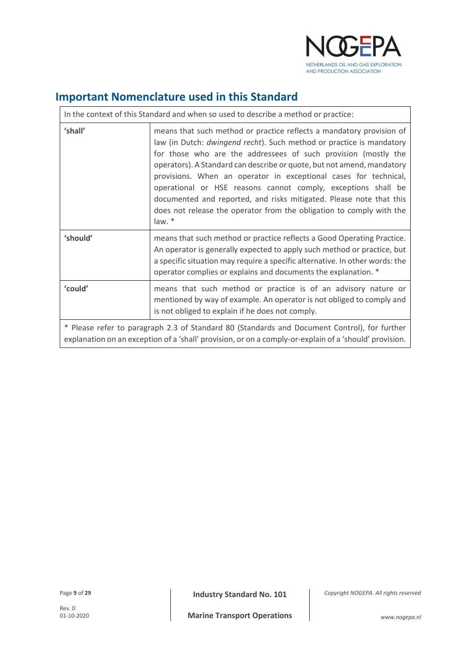

# <span id="page-8-0"></span>**Important Nomenclature used in this Standard**

| In the context of this Standard and when so used to describe a method or practice:                                                                                                                     |                                                                                                                                                                                                                                                                                                                                                                                                                                                                                                                                                                                        |  |  |
|--------------------------------------------------------------------------------------------------------------------------------------------------------------------------------------------------------|----------------------------------------------------------------------------------------------------------------------------------------------------------------------------------------------------------------------------------------------------------------------------------------------------------------------------------------------------------------------------------------------------------------------------------------------------------------------------------------------------------------------------------------------------------------------------------------|--|--|
| 'shall'                                                                                                                                                                                                | means that such method or practice reflects a mandatory provision of<br>law (in Dutch: dwingend recht). Such method or practice is mandatory<br>for those who are the addressees of such provision (mostly the<br>operators). A Standard can describe or quote, but not amend, mandatory<br>provisions. When an operator in exceptional cases for technical,<br>operational or HSE reasons cannot comply, exceptions shall be<br>documented and reported, and risks mitigated. Please note that this<br>does not release the operator from the obligation to comply with the<br>law. * |  |  |
| 'should'                                                                                                                                                                                               | means that such method or practice reflects a Good Operating Practice.<br>An operator is generally expected to apply such method or practice, but<br>a specific situation may require a specific alternative. In other words: the<br>operator complies or explains and documents the explanation. *                                                                                                                                                                                                                                                                                    |  |  |
| 'could'                                                                                                                                                                                                | means that such method or practice is of an advisory nature or<br>mentioned by way of example. An operator is not obliged to comply and<br>is not obliged to explain if he does not comply.                                                                                                                                                                                                                                                                                                                                                                                            |  |  |
| * Please refer to paragraph 2.3 of Standard 80 (Standards and Document Control), for further<br>explanation on an exception of a 'shall' provision, or on a comply-or-explain of a 'should' provision. |                                                                                                                                                                                                                                                                                                                                                                                                                                                                                                                                                                                        |  |  |

Page 9 of 29 **Industry Standard No. 101**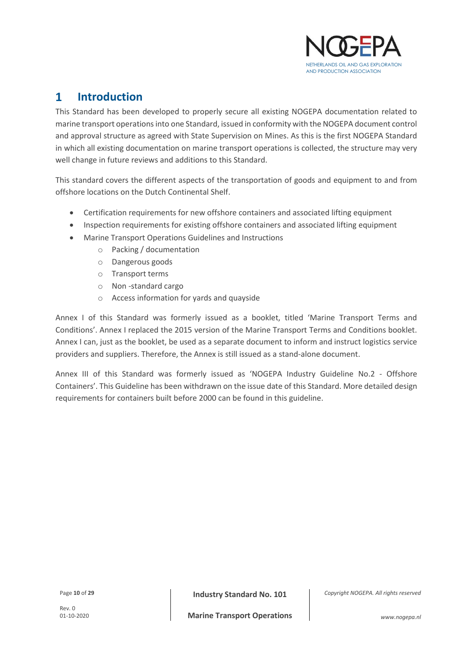

#### <span id="page-9-0"></span> $\mathbf{1}$ **Introduction**

This Standard has been developed to properly secure all existing NOGEPA documentation related to marine transport operations into one Standard, issued in conformity with the NOGEPA document control and approval structure as agreed with State Supervision on Mines. As this is the first NOGEPA Standard in which all existing documentation on marine transport operations is collected, the structure may very well change in future reviews and additions to this Standard.

This standard covers the different aspects of the transportation of goods and equipment to and from offshore locations on the Dutch Continental Shelf.

- Certification requirements for new offshore containers and associated lifting equipment
- Inspection requirements for existing offshore containers and associated lifting equipment
- Marine Transport Operations Guidelines and Instructions
	- o Packing / documentation
	- o Dangerous goods
	- o Transport terms
	- o Non -standard cargo
	- o Access information for yards and quayside

Annex I of this Standard was formerly issued as a booklet, titled 'Marine Transport Terms and Conditions'. Annex I replaced the 2015 version of the Marine Transport Terms and Conditions booklet. Annex I can, just as the booklet, be used as a separate document to inform and instruct logistics service providers and suppliers. Therefore, the Annex is still issued as a stand-alone document.

Annex III of this Standard was formerly issued as 'NOGEPA Industry Guideline No.2 - Offshore Containers'. This Guideline has been withdrawn on the issue date of this Standard. More detailed design requirements for containers built before 2000 can be found in this guideline.

Page **<sup>10</sup>** of **<sup>29</sup> Industry Standard No. 101**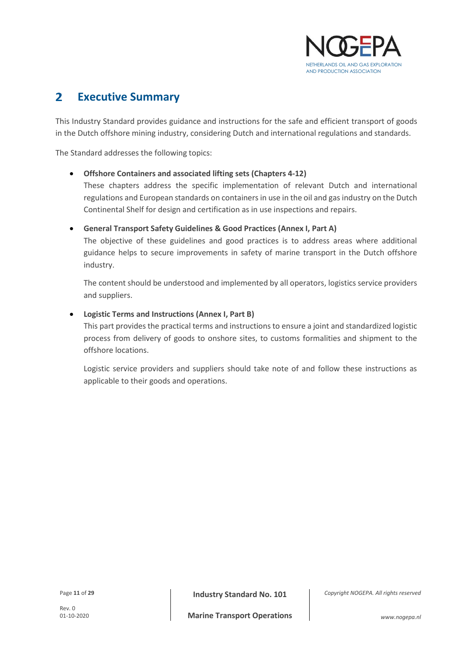

#### <span id="page-10-0"></span> $\overline{\mathbf{z}}$ **Executive Summary**

This Industry Standard provides guidance and instructions for the safe and efficient transport of goods in the Dutch offshore mining industry, considering Dutch and international regulations and standards.

The Standard addresses the following topics:

# • **Offshore Containers and associated lifting sets (Chapters 4-12)**

These chapters address the specific implementation of relevant Dutch and international regulations and European standards on containers in use in the oil and gas industry on the Dutch Continental Shelf for design and certification as in use inspections and repairs.

• **General Transport Safety Guidelines & Good Practices (Annex I, Part A)**

The objective of these guidelines and good practices is to address areas where additional guidance helps to secure improvements in safety of marine transport in the Dutch offshore industry.

The content should be understood and implemented by all operators, logistics service providers and suppliers.

# • **Logistic Terms and Instructions (Annex I, Part B)**

This part provides the practical terms and instructions to ensure a joint and standardized logistic process from delivery of goods to onshore sites, to customs formalities and shipment to the offshore locations.

Logistic service providers and suppliers should take note of and follow these instructions as applicable to their goods and operations.

Page **<sup>11</sup>** of **<sup>29</sup> Industry Standard No. 101**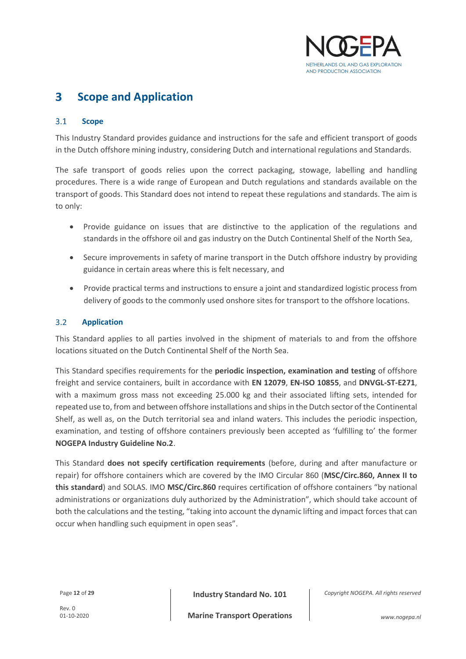

#### <span id="page-11-0"></span>3 **Scope and Application**

#### <span id="page-11-1"></span> $3.1$ **Scope**

This Industry Standard provides guidance and instructions for the safe and efficient transport of goods in the Dutch offshore mining industry, considering Dutch and international regulations and Standards.

The safe transport of goods relies upon the correct packaging, stowage, labelling and handling procedures. There is a wide range of European and Dutch regulations and standards available on the transport of goods. This Standard does not intend to repeat these regulations and standards. The aim is to only:

- Provide guidance on issues that are distinctive to the application of the regulations and standards in the offshore oil and gas industry on the Dutch Continental Shelf of the North Sea,
- Secure improvements in safety of marine transport in the Dutch offshore industry by providing guidance in certain areas where this is felt necessary, and
- Provide practical terms and instructions to ensure a joint and standardized logistic process from delivery of goods to the commonly used onshore sites for transport to the offshore locations.

#### <span id="page-11-2"></span> $3.2$ **Application**

This Standard applies to all parties involved in the shipment of materials to and from the offshore locations situated on the Dutch Continental Shelf of the North Sea.

This Standard specifies requirements for the **periodic inspection, examination and testing** of offshore freight and service containers, built in accordance with **EN 12079**, **EN-ISO 10855**, and **DNVGL-ST-E271**, with a maximum gross mass not exceeding 25.000 kg and their associated lifting sets, intended for repeated use to, from and between offshore installations and shipsin the Dutch sector of the Continental Shelf, as well as, on the Dutch territorial sea and inland waters. This includes the periodic inspection, examination, and testing of offshore containers previously been accepted as 'fulfilling to' the former **NOGEPA Industry Guideline No.2**.

This Standard **does not specify certification requirements** (before, during and after manufacture or repair) for offshore containers which are covered by the IMO Circular 860 (**MSC/Circ.860, Annex II to this standard**) and SOLAS. IMO **MSC/Circ.860** requires certification of offshore containers "by national administrations or organizations duly authorized by the Administration", which should take account of both the calculations and the testing, "taking into account the dynamic lifting and impact forces that can occur when handling such equipment in open seas".

Page **<sup>12</sup>** of **<sup>29</sup> Industry Standard No. 101**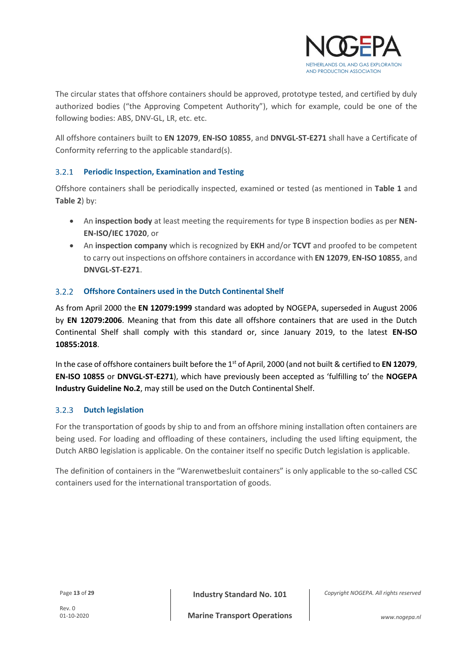

The circular states that offshore containers should be approved, prototype tested, and certified by duly authorized bodies ("the Approving Competent Authority"), which for example, could be one of the following bodies: ABS, DNV-GL, LR, etc. etc.

All offshore containers built to **EN 12079**, **EN-ISO 10855**, and **DNVGL-ST-E271** shall have a Certificate of Conformity referring to the applicable standard(s).

#### <span id="page-12-0"></span> $3.2.1$ **Periodic Inspection, Examination and Testing**

Offshore containers shall be periodically inspected, examined or tested (as mentioned in **[Table 1](#page-16-1)** and **[Table 2](#page-17-2)**) by:

- An **inspection body** at least meeting the requirements for type B inspection bodies as per **NEN-EN-ISO/IEC 17020**, or
- An **inspection company** which is recognized by **EKH** and/or **TCVT** and proofed to be competent to carry out inspections on offshore containers in accordance with **EN 12079**, **EN-ISO 10855**, and **DNVGL-ST-E271**.

#### **Offshore Containers used in the Dutch Continental Shelf**  $3.2.2$

As from April 2000 the **EN 12079:1999** standard was adopted by NOGEPA, superseded in August 2006 by **EN 12079:2006**. Meaning that from this date all offshore containers that are used in the Dutch Continental Shelf shall comply with this standard or, since January 2019, to the latest **EN-ISO 10855:2018**.

In the case of offshore containers built before the 1<sup>st</sup> of April, 2000 (and not built & certified to **EN 12079**, **EN-ISO 10855** or **DNVGL-ST-E271**), which have previously been accepted as 'fulfilling to' the **NOGEPA Industry Guideline No.2**, may still be used on the Dutch Continental Shelf.

#### **Dutch legislation**  $3.2.3$

For the transportation of goods by ship to and from an offshore mining installation often containers are being used. For loading and offloading of these containers, including the used lifting equipment, the Dutch ARBO legislation is applicable. On the container itself no specific Dutch legislation is applicable.

The definition of containers in the "Warenwetbesluit containers" is only applicable to the so-called CSC containers used for the international transportation of goods.

Page 13 of 29 **Industry Standard No. 101**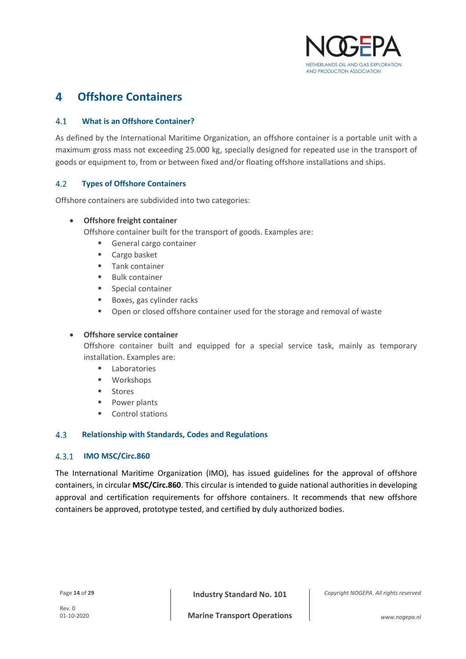

#### <span id="page-13-0"></span>**Offshore Containers**  $\blacktriangle$

#### <span id="page-13-1"></span> $4.1$ **What is an Offshore Container?**

As defined by the International Maritime Organization, an offshore container is a portable unit with a maximum gross mass not exceeding 25.000 kg, specially designed for repeated use in the transport of goods or equipment to, from or between fixed and/or floating offshore installations and ships.

#### <span id="page-13-2"></span> $4.2$ **Types of Offshore Containers**

Offshore containers are subdivided into two categories:

### • **Offshore freight container**

Offshore container built for the transport of goods. Examples are:

- General cargo container
- Cargo basket
- Tank container
- **Bulk container**
- Special container
- Boxes, gas cylinder racks
- **•** Open or closed offshore container used for the storage and removal of waste

### • **Offshore service container**

Offshore container built and equipped for a special service task, mainly as temporary installation. Examples are:

- Laboratories
- Workshops
- **Stores**
- Power plants
- Control stations

#### <span id="page-13-3"></span>4.3 **Relationship with Standards, Codes and Regulations**

#### $4.3.1$ **IMO MSC/Circ.860**

The International Maritime Organization (IMO), has issued guidelines for the approval of offshore containers, in circular **MSC/Circ.860**. This circular is intended to guide national authorities in developing approval and certification requirements for offshore containers. It recommends that new offshore containers be approved, prototype tested, and certified by duly authorized bodies.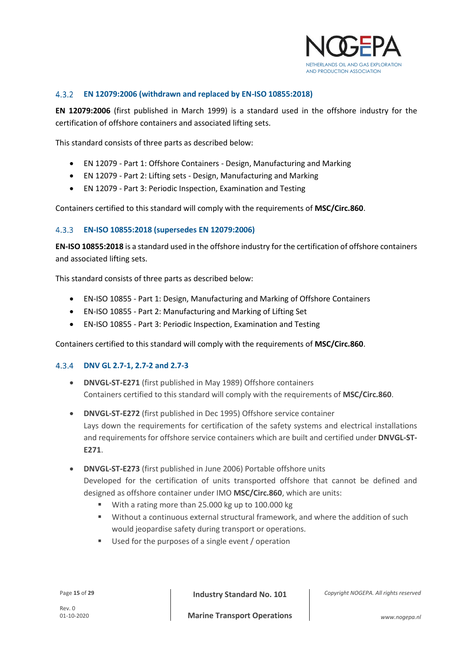

#### $4.3.2$ **EN 12079:2006 (withdrawn and replaced by EN-ISO 10855:2018)**

**EN 12079:2006** (first published in March 1999) is a standard used in the offshore industry for the certification of offshore containers and associated lifting sets.

This standard consists of three parts as described below:

- EN 12079 Part 1: Offshore Containers Design, Manufacturing and Marking
- EN 12079 Part 2: Lifting sets Design, Manufacturing and Marking
- EN 12079 Part 3: Periodic Inspection, Examination and Testing

Containers certified to this standard will comply with the requirements of **MSC/Circ.860**.

### **EN-ISO 10855:2018 (supersedes EN 12079:2006)**

**EN-ISO 10855:2018** is a standard used in the offshore industry for the certification of offshore containers and associated lifting sets.

This standard consists of three parts as described below:

- EN-ISO 10855 Part 1: Design, Manufacturing and Marking of Offshore Containers
- EN-ISO 10855 Part 2: Manufacturing and Marking of Lifting Set
- EN-ISO 10855 Part 3: Periodic Inspection, Examination and Testing

Containers certified to this standard will comply with the requirements of **MSC/Circ.860**.

# **DNV GL 2.7-1, 2.7-2 and 2.7-3**

- **DNVGL-ST-E271** (first published in May 1989) Offshore containers Containers certified to this standard will comply with the requirements of **MSC/Circ.860**.
- **DNVGL-ST-E272** (first published in Dec 1995) Offshore service container Lays down the requirements for certification of the safety systems and electrical installations and requirements for offshore service containers which are built and certified under **DNVGL-ST-E271**.
- **DNVGL-ST-E273** (first published in June 2006) Portable offshore units Developed for the certification of units transported offshore that cannot be defined and designed as offshore container under IMO **MSC/Circ.860**, which are units:
	- With a rating more than 25.000 kg up to 100.000 kg
	- Without a continuous external structural framework, and where the addition of such would jeopardise safety during transport or operations.
	- Used for the purposes of a single event / operation

Page **<sup>15</sup>** of **<sup>29</sup> Industry Standard No. 101**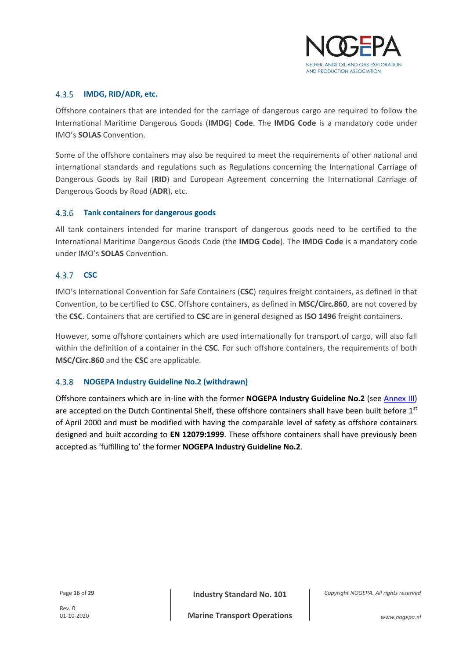

#### $4.3.5$ **IMDG, RID/ADR, etc.**

Offshore containers that are intended for the carriage of dangerous cargo are required to follow the International Maritime Dangerous Goods (**IMDG**) **Code**. The **IMDG Code** is a mandatory code under IMO's **SOLAS** Convention.

Some of the offshore containers may also be required to meet the requirements of other national and international standards and regulations such as Regulations concerning the International Carriage of Dangerous Goods by Rail (**RID**) and European Agreement concerning the International Carriage of Dangerous Goods by Road (**ADR**), etc.

### **Tank containers for dangerous goods**

All tank containers intended for marine transport of dangerous goods need to be certified to the International Maritime Dangerous Goods Code (the **IMDG Code**). The **IMDG Code** is a mandatory code under IMO's **SOLAS** Convention.

# 4.3.7 **CSC**

IMO's International Convention for Safe Containers (**CSC**) requires freight containers, as defined in that Convention, to be certified to **CSC**. Offshore containers, as defined in **MSC/Circ.860**, are not covered by the **CSC**. Containers that are certified to **CSC** are in general designed as **ISO 1496** freight containers.

However, some offshore containers which are used internationally for transport of cargo, will also fall within the definition of a container in the **CSC**. For such offshore containers, the requirements of both **MSC/Circ.860** and the **CSC** are applicable.

# **NOGEPA Industry Guideline No.2 (withdrawn)**

Offshore containers which are in-line with the former **NOGEPA Industry Guideline No.2** (see [Annex III\)](#page-28-2) are accepted on the Dutch Continental Shelf, these offshore containers shall have been built before 1st of April 2000 and must be modified with having the comparable level of safety as offshore containers designed and built according to **EN 12079:1999**. These offshore containers shall have previously been accepted as 'fulfilling to' the former **NOGEPA Industry Guideline No.2**.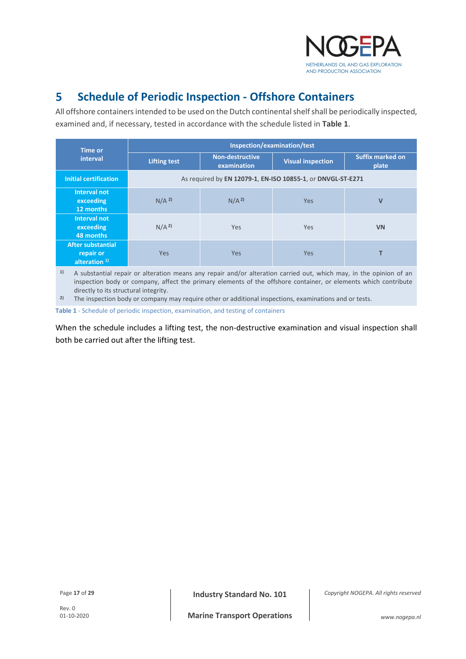

#### <span id="page-16-0"></span>5 **Schedule of Periodic Inspection - Offshore Containers**

All offshore containers intended to be used on the Dutch continental shelf shall be periodically inspected, examined and, if necessary, tested in accordance with the schedule listed in **[Table 1](#page-16-1)**.

| <b>Time or</b>                                          | Inspection/examination/test                                 |                                       |                          |                                  |
|---------------------------------------------------------|-------------------------------------------------------------|---------------------------------------|--------------------------|----------------------------------|
| interval                                                | <b>Lifting test</b>                                         | <b>Non-destructive</b><br>examination | <b>Visual inspection</b> | <b>Suffix marked on</b><br>plate |
| <b>Initial certification</b>                            | As required by EN 12079-1, EN-ISO 10855-1, or DNVGL-ST-E271 |                                       |                          |                                  |
| <b>Interval not</b><br>exceeding<br>12 months           | N/A <sup>2</sup>                                            | N/A <sup>2</sup>                      | <b>Yes</b>               | $\mathbf v$                      |
| <b>Interval not</b><br>exceeding<br>48 months           | N/A <sup>2</sup>                                            | Yes                                   | <b>Yes</b>               | <b>VN</b>                        |
| <b>After substantial</b><br>repair or<br>alteration $1$ | <b>Yes</b>                                                  | <b>Yes</b>                            | <b>Yes</b>               |                                  |

**1)** A substantial repair or alteration means any repair and/or alteration carried out, which may, in the opinion of an inspection body or company, affect the primary elements of the offshore container, or elements which contribute directly to its structural integrity.

**2)** The inspection body or company may require other or additional inspections, examinations and or tests.

<span id="page-16-1"></span>**Table 1** - Schedule of periodic inspection, examination, and testing of containers

When the schedule includes a lifting test, the non-destructive examination and visual inspection shall both be carried out after the lifting test.

Page **<sup>17</sup>** of **<sup>29</sup> Industry Standard No. 101**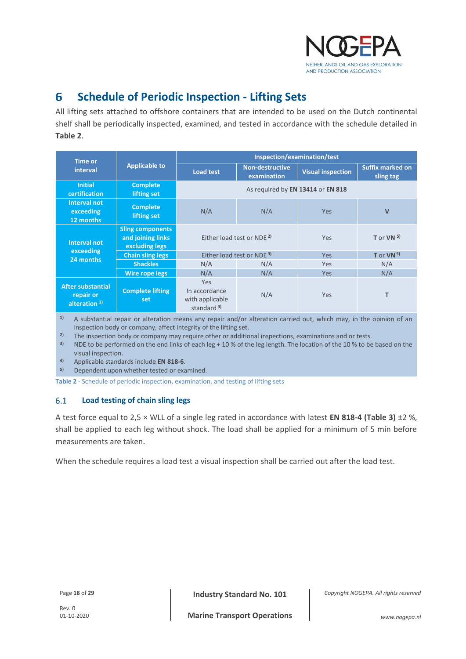

#### <span id="page-17-0"></span>6 **Schedule of Periodic Inspection - Lifting Sets**

All lifting sets attached to offshore containers that are intended to be used on the Dutch continental shelf shall be periodically inspected, examined, and tested in accordance with the schedule detailed in **[Table 2](#page-17-2)**.

| <b>Time or</b>                                          | <b>Applicable to</b>                                           | Inspection/examination/test                                      |                                       |                          |                                      |
|---------------------------------------------------------|----------------------------------------------------------------|------------------------------------------------------------------|---------------------------------------|--------------------------|--------------------------------------|
| interval                                                |                                                                | <b>Load test</b>                                                 | <b>Non-destructive</b><br>examination | <b>Visual inspection</b> | <b>Suffix marked on</b><br>sling tag |
| <b>Initial</b><br>certification                         | <b>Complete</b><br>lifting set                                 | As required by EN 13414 or EN 818                                |                                       |                          |                                      |
| Interval not<br>exceeding<br>12 months                  | <b>Complete</b><br>lifting set                                 | N/A                                                              | N/A                                   | <b>Yes</b>               | $\mathbf v$                          |
| Interval not<br>exceeding<br>24 months                  | <b>Sling components</b><br>and joining links<br>excluding legs | Either load test or NDE <sup>2</sup>                             |                                       | Yes                      | T or VN $5$ )                        |
|                                                         | <b>Chain sling legs</b>                                        | Either load test or NDE <sup>3)</sup>                            |                                       | <b>Yes</b>               | T or $VN5$                           |
|                                                         | <b>Shackles</b>                                                | N/A                                                              | N/A                                   | Yes                      | N/A                                  |
|                                                         | Wire rope legs                                                 | N/A                                                              | N/A                                   | <b>Yes</b>               | N/A                                  |
| <b>After substantial</b><br>repair or<br>alteration $1$ | <b>Complete lifting</b><br>set                                 | Yes<br>In accordance<br>with applicable<br>standard <sup>4</sup> | N/A                                   | Yes                      | т                                    |

**1)** A substantial repair or alteration means any repair and/or alteration carried out, which may, in the opinion of an inspection body or company, affect integrity of the lifting set.

<sup>2)</sup> The inspection body or company may require other or additional inspections, examinations and or tests.

<sup>3)</sup> NDE to be performed on the end links of each leg + 10 % of the leg length. The location of the 10 % to be based on the visual inspection.

**4)** Applicable standards include **EN 818-6**.

**5)** Dependent upon whether tested or examined.

<span id="page-17-2"></span>**Table 2** - Schedule of periodic inspection, examination, and testing of lifting sets

#### <span id="page-17-1"></span>6.1 **Load testing of chain sling legs**

A test force equal to 2,5 × WLL of a single leg rated in accordance with latest **EN 818-4 (Table 3)** ±2 %, shall be applied to each leg without shock. The load shall be applied for a minimum of 5 min before measurements are taken.

When the schedule requires a load test a visual inspection shall be carried out after the load test.

Rev. 0<br>01-10-2020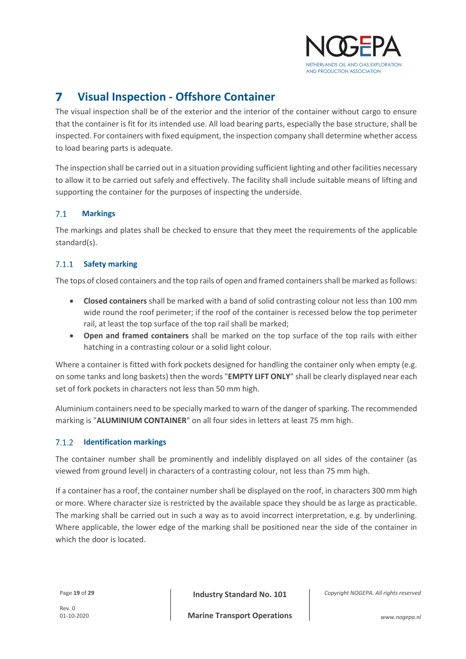

#### <span id="page-18-0"></span>7 **Visual Inspection - Offshore Container**

The visual inspection shall be of the exterior and the interior of the container without cargo to ensure that the container is fit for its intended use. All load bearing parts, especially the base structure, shall be inspected. For containers with fixed equipment, the inspection company shall determine whether access to load bearing parts is adequate.

The inspection shall be carried out in a situation providing sufficient lighting and other facilities necessary to allow it to be carried out safely and effectively. The facility shall include suitable means of lifting and supporting the container for the purposes of inspecting the underside.

#### <span id="page-18-1"></span> $7.1$ **Markings**

The markings and plates shall be checked to ensure that they meet the requirements of the applicable standard(s).

#### $7.1.1$ **Safety marking**

The tops of closed containers and the top rails of open and framed containers shall be marked as follows:

- **Closed containers** shall be marked with a band of solid contrasting colour not less than 100 mm wide round the roof perimeter; if the roof of the container is recessed below the top perimeter rail, at least the top surface of the top rail shall be marked;
- **Open and framed containers** shall be marked on the top surface of the top rails with either hatching in a contrasting colour or a solid light colour.

Where a container is fitted with fork pockets designed for handling the container only when empty (e.g. on some tanks and long baskets) then the words "**EMPTY LIFT ONLY**" shall be clearly displayed near each set of fork pockets in characters not less than 50 mm high.

Aluminium containers need to be specially marked to warn of the danger of sparking. The recommended marking is "**ALUMINIUM CONTAINER**" on all four sides in letters at least 75 mm high.

#### $7.1.2$ **Identification markings**

The container number shall be prominently and indelibly displayed on all sides of the container (as viewed from ground level) in characters of a contrasting colour, not less than 75 mm high.

If a container has a roof, the container number shall be displayed on the roof, in characters 300 mm high or more. Where character size is restricted by the available space they should be as large as practicable. The marking shall be carried out in such a way as to avoid incorrect interpretation, e.g. by underlining. Where applicable, the lower edge of the marking shall be positioned near the side of the container in which the door is located.

Page **<sup>19</sup>** of **<sup>29</sup> Industry Standard No. 101**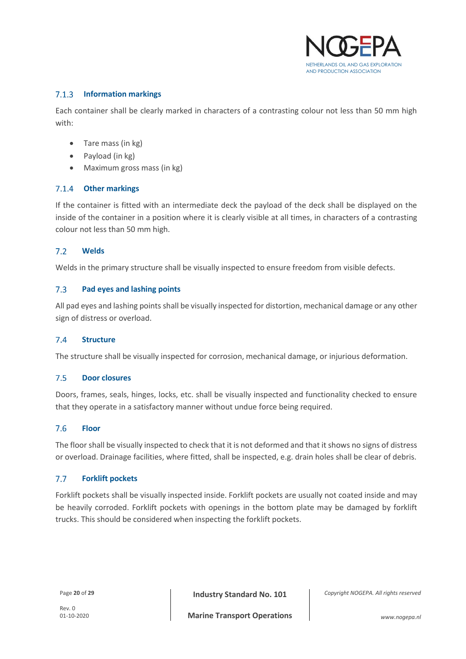

#### $7.1.3$ **Information markings**

Each container shall be clearly marked in characters of a contrasting colour not less than 50 mm high with:

- Tare mass (in kg)
- Payload (in kg)
- Maximum gross mass (in kg)

### **Other markings**

If the container is fitted with an intermediate deck the payload of the deck shall be displayed on the inside of the container in a position where it is clearly visible at all times, in characters of a contrasting colour not less than 50 mm high.

#### <span id="page-19-0"></span> $7.2$ **Welds**

Welds in the primary structure shall be visually inspected to ensure freedom from visible defects.

#### <span id="page-19-1"></span> $7.3$ **Pad eyes and lashing points**

All pad eyes and lashing points shall be visually inspected for distortion, mechanical damage or any other sign of distress or overload.

#### <span id="page-19-2"></span> $7.4$ **Structure**

The structure shall be visually inspected for corrosion, mechanical damage, or injurious deformation.

#### <span id="page-19-3"></span> $7.5$ **Door closures**

Doors, frames, seals, hinges, locks, etc. shall be visually inspected and functionality checked to ensure that they operate in a satisfactory manner without undue force being required.

#### <span id="page-19-4"></span>7.6 **Floor**

The floor shall be visually inspected to check that it is not deformed and that it shows no signs of distress or overload. Drainage facilities, where fitted, shall be inspected, e.g. drain holes shall be clear of debris.

#### <span id="page-19-5"></span> $7.7$ **Forklift pockets**

Forklift pockets shall be visually inspected inside. Forklift pockets are usually not coated inside and may be heavily corroded. Forklift pockets with openings in the bottom plate may be damaged by forklift trucks. This should be considered when inspecting the forklift pockets.

Page **<sup>20</sup>** of **<sup>29</sup> Industry Standard No. 101**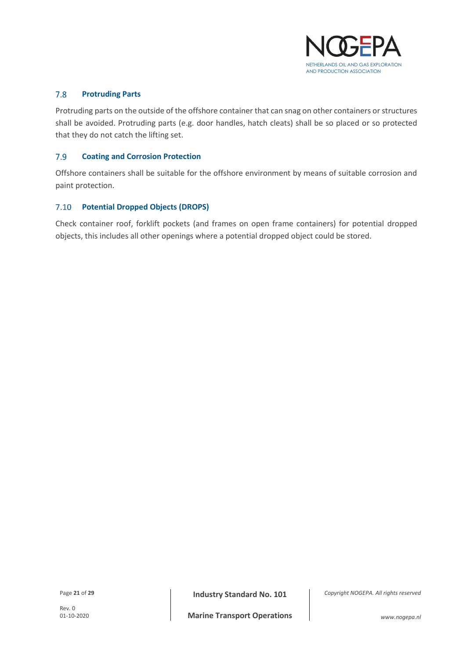

#### <span id="page-20-0"></span> $7.8$ **Protruding Parts**

Protruding parts on the outside of the offshore container that can snag on other containers or structures shall be avoided. Protruding parts (e.g. door handles, hatch cleats) shall be so placed or so protected that they do not catch the lifting set.

#### <span id="page-20-1"></span>7.9 **Coating and Corrosion Protection**

Offshore containers shall be suitable for the offshore environment by means of suitable corrosion and paint protection.

### <span id="page-20-2"></span>**Potential Dropped Objects (DROPS)**

Check container roof, forklift pockets (and frames on open frame containers) for potential dropped objects, this includes all other openings where a potential dropped object could be stored.

Page **<sup>21</sup>** of **<sup>29</sup> Industry Standard No. 101**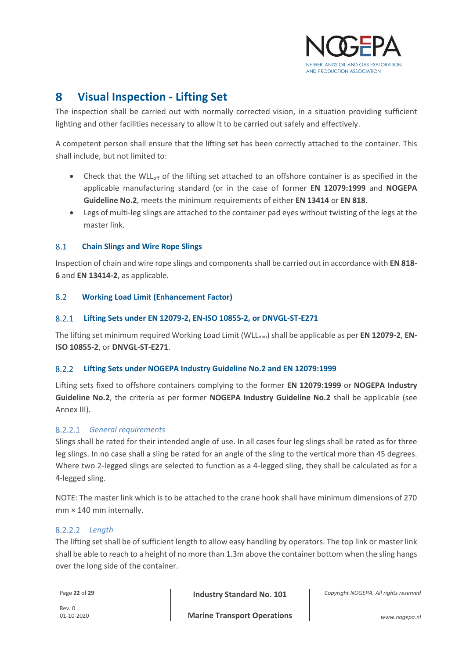

#### <span id="page-21-0"></span>8 **Visual Inspection - Lifting Set**

The inspection shall be carried out with normally corrected vision, in a situation providing sufficient lighting and other facilities necessary to allow it to be carried out safely and effectively.

A competent person shall ensure that the lifting set has been correctly attached to the container. This shall include, but not limited to:

- Check that the WLL<sub>off</sub> of the lifting set attached to an offshore container is as specified in the applicable manufacturing standard (or in the case of former **EN 12079:1999** and **NOGEPA Guideline No.2**, meets the minimum requirements of either **EN 13414** or **EN 818**.
- Legs of multi-leg slings are attached to the container pad eyes without twisting of the legs at the master link.

#### <span id="page-21-1"></span>8.1 **Chain Slings and Wire Rope Slings**

Inspection of chain and wire rope slings and components shall be carried out in accordance with **EN 818- 6** and **EN 13414-2**, as applicable.

#### <span id="page-21-2"></span>8.2 **Working Load Limit (Enhancement Factor)**

#### 8.2.1 **Lifting Sets under EN 12079-2, EN-ISO 10855-2, or DNVGL-ST-E271**

The lifting set minimum required Working Load Limit (WLLmin) shall be applicable as per **EN 12079-2**, **EN-ISO 10855-2**, or **DNVGL-ST-E271**.

#### $8.2.2$ **Lifting Sets under NOGEPA Industry Guideline No.2 and EN 12079:1999**

Lifting sets fixed to offshore containers complying to the former **EN 12079:1999** or **NOGEPA Industry Guideline No.2**, the criteria as per former **NOGEPA Industry Guideline No.2** shall be applicable (see Annex III).

# *General requirements*

Slings shall be rated for their intended angle of use. In all cases four leg slings shall be rated as for three leg slings. In no case shall a sling be rated for an angle of the sling to the vertical more than 45 degrees. Where two 2-legged slings are selected to function as a 4-legged sling, they shall be calculated as for a 4-legged sling.

NOTE: The master link which is to be attached to the crane hook shall have minimum dimensions of 270 mm × 140 mm internally.

### *Length*

The lifting set shall be of sufficient length to allow easy handling by operators. The top link or master link shall be able to reach to a height of no more than 1.3m above the container bottom when the sling hangs over the long side of the container.

Page **<sup>22</sup>** of **<sup>29</sup> Industry Standard No. 101**

*Copyright NOGEPA. All rights reserved*

Rev. 0<br> $01 - 10 - 2020$ 

**Marine Transport Operations** 01-10-2020 *www.nogepa.nl*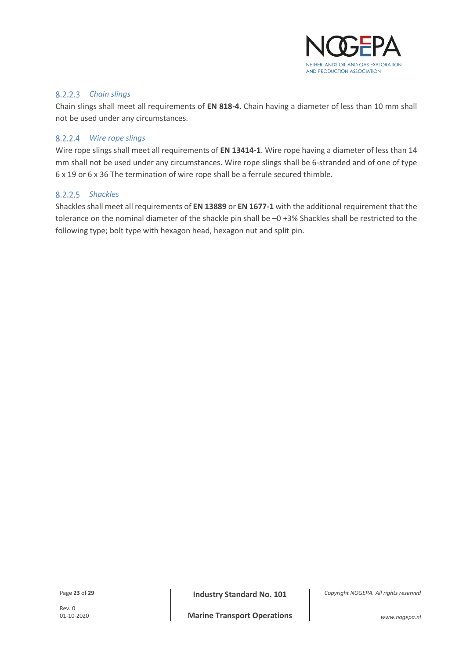

### *Chain slings*

Chain slings shall meet all requirements of **EN 818-4**. Chain having a diameter of less than 10 mm shall not be used under any circumstances.

### *Wire rope slings*

Wire rope slings shall meet all requirements of **EN 13414-1**. Wire rope having a diameter of less than 14 mm shall not be used under any circumstances. Wire rope slings shall be 6-stranded and of one of type 6 x 19 or 6 x 36 The termination of wire rope shall be a ferrule secured thimble.

### *Shackles*

Shackles shall meet all requirements of **EN 13889** or **EN 1677-1** with the additional requirement that the tolerance on the nominal diameter of the shackle pin shall be –0 +3% Shackles shall be restricted to the following type; bolt type with hexagon head, hexagon nut and split pin.

Page **<sup>23</sup>** of **<sup>29</sup> Industry Standard No. 101**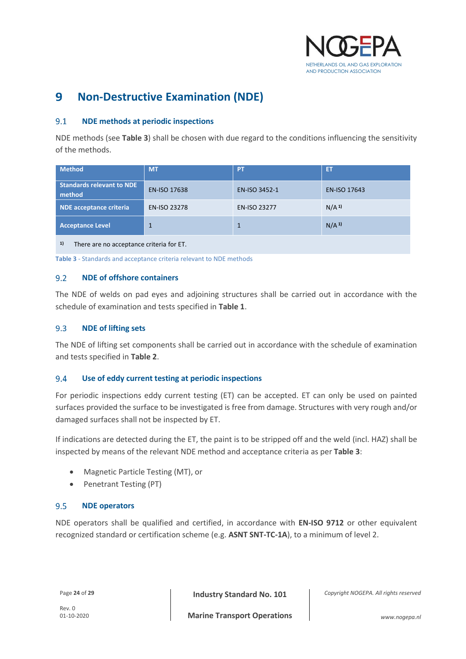

#### <span id="page-23-0"></span>**Non-Destructive Examination (NDE)** 9

#### <span id="page-23-1"></span>**NDE methods at periodic inspections**  $9.1$

NDE methods (see **[Table 3](#page-23-6)**) shall be chosen with due regard to the conditions influencing the sensitivity of the methods.

| <b>Method</b>                                                                                                                  | <b>MT</b>           | PT                  | ET                  |  |  |  |
|--------------------------------------------------------------------------------------------------------------------------------|---------------------|---------------------|---------------------|--|--|--|
| <b>Standards relevant to NDE</b><br>method                                                                                     | <b>EN-ISO 17638</b> | EN-ISO 3452-1       | <b>EN-ISO 17643</b> |  |  |  |
| <b>NDE</b> acceptance criteria                                                                                                 | <b>EN-ISO 23278</b> | <b>EN-ISO 23277</b> | N/A <sup>1</sup>    |  |  |  |
| <b>Acceptance Level</b>                                                                                                        | $\mathbf{1}$        | 1                   | N/A <sup>1</sup>    |  |  |  |
| $\mathbf{1}$<br>그 그는 그 사람들은 그 사람들을 지르며 그 사람들을 지르며 그 사람들을 지르며 그 사람들을 지르며 그 사람들을 지르며 그 사람들을 지르며 그 사람들을 지르며 그 사람들을 지르며 그 사람들을 지르며 |                     |                     |                     |  |  |  |

### **1)** There are no acceptance criteria for ET.

<span id="page-23-6"></span>**Table 3** - Standards and acceptance criteria relevant to NDE methods

#### <span id="page-23-2"></span>**NDE of offshore containers**  $9.2$

The NDE of welds on pad eyes and adjoining structures shall be carried out in accordance with the schedule of examination and tests specified in **[Table 1](#page-16-1)**.

#### <span id="page-23-3"></span>9.3 **NDE of lifting sets**

The NDE of lifting set components shall be carried out in accordance with the schedule of examination and tests specified in **[Table 2](#page-17-2)**.

#### <span id="page-23-4"></span>9.4 **Use of eddy current testing at periodic inspections**

For periodic inspections eddy current testing (ET) can be accepted. ET can only be used on painted surfaces provided the surface to be investigated is free from damage. Structures with very rough and/or damaged surfaces shall not be inspected by ET.

If indications are detected during the ET, the paint is to be stripped off and the weld (incl. HAZ) shall be inspected by means of the relevant NDE method and acceptance criteria as per **[Table 3](#page-23-6)**:

- Magnetic Particle Testing (MT), or
- Penetrant Testing (PT)

#### <span id="page-23-5"></span>9.5 **NDE operators**

NDE operators shall be qualified and certified, in accordance with **EN-ISO 9712** or other equivalent recognized standard or certification scheme (e.g. **ASNT SNT-TC-1A**), to a minimum of level 2.

Page **<sup>24</sup>** of **<sup>29</sup> Industry Standard No. 101**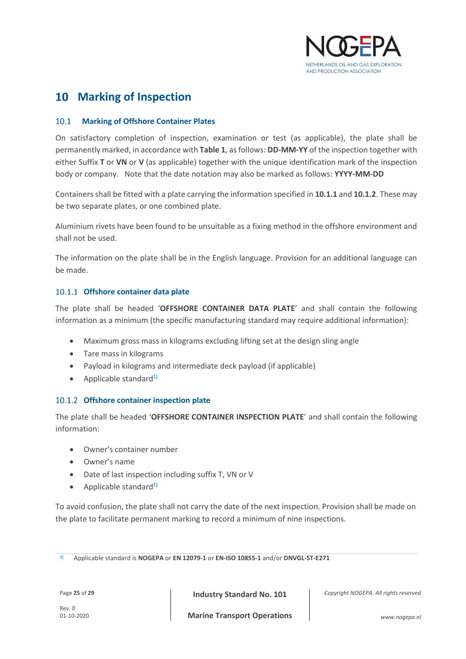

# <span id="page-24-0"></span>**Marking of Inspection**

#### <span id="page-24-1"></span>**Marking of Offshore Container Plates**  $10.1$

On satisfactory completion of inspection, examination or test (as applicable), the plate shall be permanently marked, in accordance with **[Table 1](#page-16-1)**, as follows: **DD-MM-YY** of the inspection together with either Suffix **T** or **VN** or **V** (as applicable) together with the unique identification mark of the inspection body or company. Note that the date notation may also be marked as follows: **YYYY-MM-DD**

Containers shall be fitted with a plate carrying the information specified in **[10.1.1](#page-24-2)** and **[10.1.2](#page-24-3)**. These may be two separate plates, or one combined plate.

Aluminium rivets have been found to be unsuitable as a fixing method in the offshore environment and shall not be used.

The information on the plate shall be in the English language. Provision for an additional language can be made.

### <span id="page-24-2"></span>10.1.1 Offshore container data plate

The plate shall be headed '**OFFSHORE CONTAINER DATA PLATE**' and shall contain the following information as a minimum (the specific manufacturing standard may require additional information):

- Maximum gross mass in kilograms excluding lifting set at the design sling angle
- Tare mass in kilograms
- Payload in kilograms and intermediate deck payload (if applicable)
- Applicable standard**1)**

# <span id="page-24-3"></span>**Offshore container inspection plate**

The plate shall be headed '**OFFSHORE CONTAINER INSPECTION PLATE**' and shall contain the following information:

- Owner's container number
- Owner's name
- Date of last inspection including suffix T, VN or V
- Applicable standard**1)**

To avoid confusion, the plate shall not carry the date of the next inspection. Provision shall be made on the plate to facilitate permanent marking to record a minimum of nine inspections.

**1)** Applicable standard is **NOGEPA** or **EN 12079-1** or **EN-ISO 10855-1** and/or **DNVGL-ST-E271**

Page **<sup>25</sup>** of **<sup>29</sup> Industry Standard No. 101**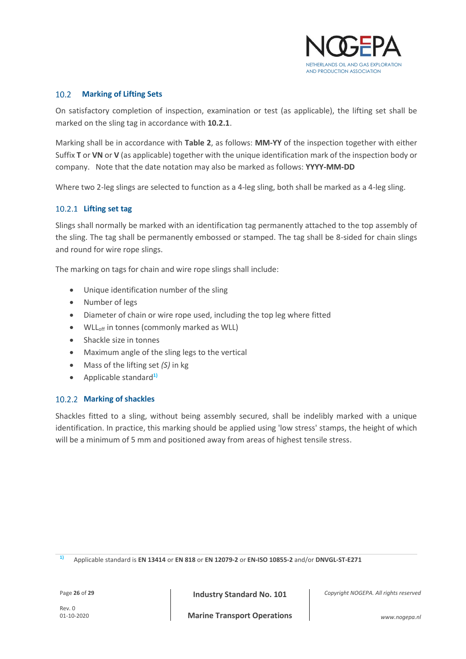

#### <span id="page-25-0"></span> $10.2$ **Marking of Lifting Sets**

On satisfactory completion of inspection, examination or test (as applicable), the lifting set shall be marked on the sling tag in accordance with **[10.2.1](#page-25-1)**.

Marking shall be in accordance with **[Table 2](#page-17-2)**, as follows: **MM-YY** of the inspection together with either Suffix **T** or **VN** or **V** (as applicable) together with the unique identification mark of the inspection body or company. Note that the date notation may also be marked as follows: **YYYY-MM-DD**

Where two 2-leg slings are selected to function as a 4-leg sling, both shall be marked as a 4-leg sling.

# <span id="page-25-1"></span>**Lifting set tag**

Slings shall normally be marked with an identification tag permanently attached to the top assembly of the sling. The tag shall be permanently embossed or stamped. The tag shall be 8-sided for chain slings and round for wire rope slings.

The marking on tags for chain and wire rope slings shall include:

- Unique identification number of the sling
- Number of legs
- Diameter of chain or wire rope used, including the top leg where fitted
- WLL<sub>off</sub> in tonnes (commonly marked as WLL)
- Shackle size in tonnes
- Maximum angle of the sling legs to the vertical
- Mass of the lifting set *(S)* in kg
- Applicable standard**1)**

### 10.2.2 Marking of shackles

Shackles fitted to a sling, without being assembly secured, shall be indelibly marked with a unique identification. In practice, this marking should be applied using 'low stress' stamps, the height of which will be a minimum of 5 mm and positioned away from areas of highest tensile stress.

**1)** Applicable standard is **EN 13414** or **EN 818** or **EN 12079-2** or **EN-ISO 10855-2** and/or **DNVGL-ST-E271**

Page **<sup>26</sup>** of **<sup>29</sup> Industry Standard No. 101**

*Copyright NOGEPA. All rights reserved*

**Marine Transport Operations** 01-10-2020 *www.nogepa.nl*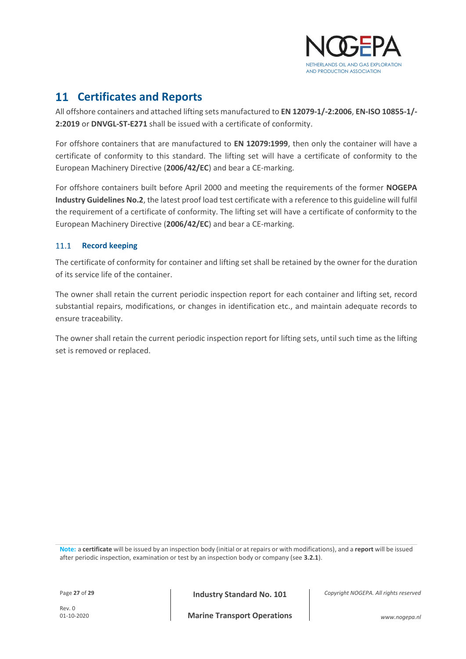

# <span id="page-26-0"></span>**Certificates and Reports**

All offshore containers and attached lifting sets manufactured to **EN 12079-1/-2:2006**, **EN-ISO 10855-1/- 2:2019** or **DNVGL-ST-E271** shall be issued with a certificate of conformity.

For offshore containers that are manufactured to **EN 12079:1999**, then only the container will have a certificate of conformity to this standard. The lifting set will have a certificate of conformity to the European Machinery Directive (**2006/42/EC**) and bear a CE-marking.

For offshore containers built before April 2000 and meeting the requirements of the former **NOGEPA Industry Guidelines No.2**, the latest proof load test certificate with a reference to this guideline will fulfil the requirement of a certificate of conformity. The lifting set will have a certificate of conformity to the European Machinery Directive (**2006/42/EC**) and bear a CE-marking.

# <span id="page-26-1"></span>11.1 **Record keeping**

The certificate of conformity for container and lifting set shall be retained by the owner for the duration of its service life of the container.

The owner shall retain the current periodic inspection report for each container and lifting set, record substantial repairs, modifications, or changes in identification etc., and maintain adequate records to ensure traceability.

The owner shall retain the current periodic inspection report for lifting sets, until such time as the lifting set is removed or replaced.

**Note:** a **certificate** will be issued by an inspection body (initial or at repairs or with modifications), and a **report** will be issued after periodic inspection, examination or test by an inspection body or company (see **[3.2.1](#page-12-0)**).

Page **<sup>27</sup>** of **<sup>29</sup> Industry Standard No. 101**

*Copyright NOGEPA. All rights reserved*

**Marine Transport Operations** 01-10-2020 *www.nogepa.nl*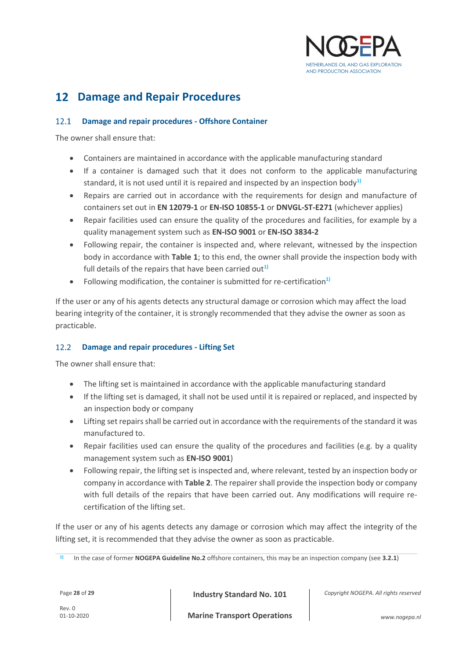

# <span id="page-27-0"></span>**Damage and Repair Procedures**

#### <span id="page-27-1"></span>**Damage and repair procedures - Offshore Container**  $12.1$

The owner shall ensure that:

- Containers are maintained in accordance with the applicable manufacturing standard
- If a container is damaged such that it does not conform to the applicable manufacturing standard, it is not used until it is repaired and inspected by an inspection body**1)**
- Repairs are carried out in accordance with the requirements for design and manufacture of containers set out in **EN 12079-1** or **EN-ISO 10855-1** or **DNVGL-ST-E271** (whichever applies)
- Repair facilities used can ensure the quality of the procedures and facilities, for example by a quality management system such as **EN-ISO 9001** or **EN-ISO 3834-2**
- Following repair, the container is inspected and, where relevant, witnessed by the inspection body in accordance with **[Table 1](#page-16-1)**; to this end, the owner shall provide the inspection body with full details of the repairs that have been carried out<sup>1)</sup>
- Following modification, the container is submitted for re-certification**1)**

If the user or any of his agents detects any structural damage or corrosion which may affect the load bearing integrity of the container, it is strongly recommended that they advise the owner as soon as practicable.

# <span id="page-27-2"></span>**Damage and repair procedures - Lifting Set**

The owner shall ensure that:

- The lifting set is maintained in accordance with the applicable manufacturing standard
- If the lifting set is damaged, it shall not be used until it is repaired or replaced, and inspected by an inspection body or company
- Lifting set repairs shall be carried out in accordance with the requirements of the standard it was manufactured to.
- Repair facilities used can ensure the quality of the procedures and facilities (e.g. by a quality management system such as **EN-ISO 9001**)
- Following repair, the lifting set is inspected and, where relevant, tested by an inspection body or company in accordance with **[Table 2](#page-17-2)**. The repairer shall provide the inspection body or company with full details of the repairs that have been carried out. Any modifications will require recertification of the lifting set.

If the user or any of his agents detects any damage or corrosion which may affect the integrity of the lifting set, it is recommended that they advise the owner as soon as practicable.

Page **<sup>28</sup>** of **<sup>29</sup> Industry Standard No. 101**

**<sup>1)</sup>** In the case of former **NOGEPA Guideline No.2** offshore containers, this may be an inspection company (see **[3.2.1](#page-12-0)**)